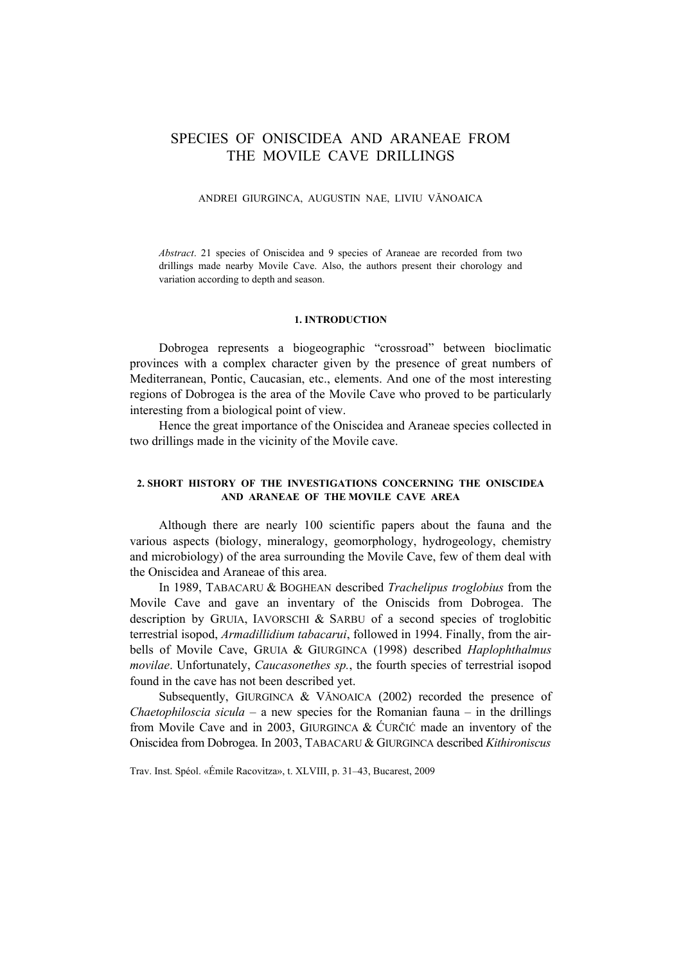# SPECIES OF ONISCIDEA AND ARANEAE FROM THE MOVILE CAVE DRILLINGS

#### ANDREI GIURGINCA, AUGUSTIN NAE, LIVIU VĂNOAICA

*Abstract*. 21 species of Oniscidea and 9 species of Araneae are recorded from two drillings made nearby Movile Cave. Also, the authors present their chorology and variation according to depth and season.

#### **1. INTRODUCTION**

Dobrogea represents a biogeographic "crossroad" between bioclimatic provinces with a complex character given by the presence of great numbers of Mediterranean, Pontic, Caucasian, etc., elements. And one of the most interesting regions of Dobrogea is the area of the Movile Cave who proved to be particularly interesting from a biological point of view.

Hence the great importance of the Oniscidea and Araneae species collected in two drillings made in the vicinity of the Movile cave.

### **2. SHORT HISTORY OF THE INVESTIGATIONS CONCERNING THE ONISCIDEA AND ARANEAE OF THE MOVILE CAVE AREA**

Although there are nearly 100 scientific papers about the fauna and the various aspects (biology, mineralogy, geomorphology, hydrogeology, chemistry and microbiology) of the area surrounding the Movile Cave, few of them deal with the Oniscidea and Araneae of this area.

In 1989, TABACARU & BOGHEAN described *Trachelipus troglobius* from the Movile Cave and gave an inventary of the Oniscids from Dobrogea. The description by GRUIA, IAVORSCHI & SARBU of a second species of troglobitic terrestrial isopod, *Armadillidium tabacarui*, followed in 1994. Finally, from the airbells of Movile Cave, GRUIA & GIURGINCA (1998) described *Haplophthalmus movilae*. Unfortunately, *Caucasonethes sp.*, the fourth species of terrestrial isopod found in the cave has not been described yet.

Subsequently, GIURGINCA & VĂNOAICA (2002) recorded the presence of *Chaetophiloscia sicula* – a new species for the Romanian fauna – in the drillings from Movile Cave and in 2003, GIURGINCA & ĆURČIĆ made an inventory of the Oniscidea from Dobrogea. In 2003, TABACARU & GIURGINCA described *Kithironiscus* 

Trav. Inst. Spéol. «Émile Racovitza», t. XLVIII, p. 31–43, Bucarest, 2009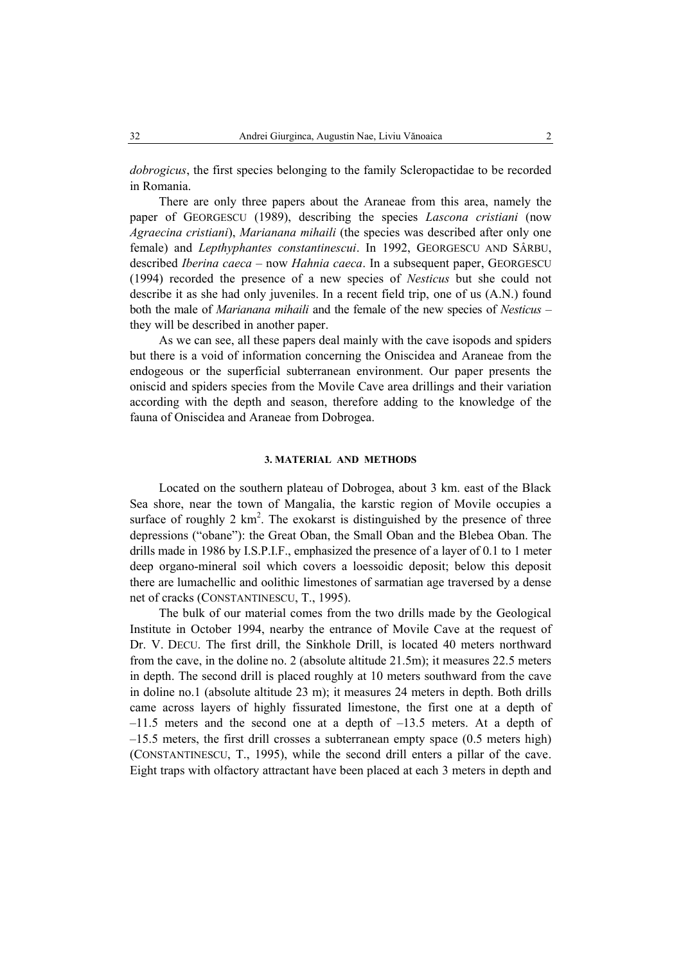*dobrogicus*, the first species belonging to the family Scleropactidae to be recorded in Romania.

There are only three papers about the Araneae from this area, namely the paper of GEORGESCU (1989), describing the species *Lascona cristiani* (now *Agraecina cristiani*), *Marianana mihaili* (the species was described after only one female) and *Lepthyphantes constantinescui*. In 1992, GEORGESCU AND SÂRBU, described *Iberina caeca* – now *Hahnia caeca*. In a subsequent paper, GEORGESCU (1994) recorded the presence of a new species of *Nesticus* but she could not describe it as she had only juveniles. In a recent field trip, one of us (A.N.) found both the male of *Marianana mihaili* and the female of the new species of *Nesticus* – they will be described in another paper.

As we can see, all these papers deal mainly with the cave isopods and spiders but there is a void of information concerning the Oniscidea and Araneae from the endogeous or the superficial subterranean environment. Our paper presents the oniscid and spiders species from the Movile Cave area drillings and their variation according with the depth and season, therefore adding to the knowledge of the fauna of Oniscidea and Araneae from Dobrogea.

#### **3. MATERIAL AND METHODS**

Located on the southern plateau of Dobrogea, about 3 km. east of the Black Sea shore, near the town of Mangalia, the karstic region of Movile occupies a surface of roughly  $2 \text{ km}^2$ . The exokarst is distinguished by the presence of three depressions ("obane"): the Great Oban, the Small Oban and the Blebea Oban. The drills made in 1986 by I.S.P.I.F., emphasized the presence of a layer of 0.1 to 1 meter deep organo-mineral soil which covers a loessoidic deposit; below this deposit there are lumachellic and oolithic limestones of sarmatian age traversed by a dense net of cracks (CONSTANTINESCU, T., 1995).

The bulk of our material comes from the two drills made by the Geological Institute in October 1994, nearby the entrance of Movile Cave at the request of Dr. V. DECU. The first drill, the Sinkhole Drill, is located 40 meters northward from the cave, in the doline no. 2 (absolute altitude 21.5m); it measures 22.5 meters in depth. The second drill is placed roughly at 10 meters southward from the cave in doline no.1 (absolute altitude 23 m); it measures 24 meters in depth. Both drills came across layers of highly fissurated limestone, the first one at a depth of  $-11.5$  meters and the second one at a depth of  $-13.5$  meters. At a depth of –15.5 meters, the first drill crosses a subterranean empty space (0.5 meters high) (CONSTANTINESCU, T., 1995), while the second drill enters a pillar of the cave. Eight traps with olfactory attractant have been placed at each 3 meters in depth and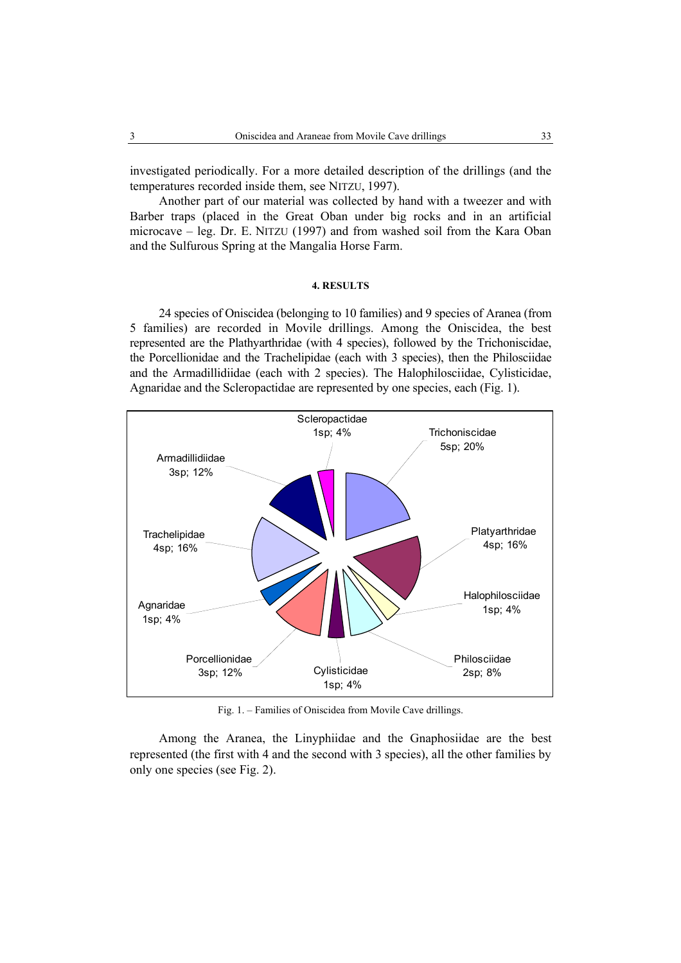investigated periodically. For a more detailed description of the drillings (and the temperatures recorded inside them, see NITZU, 1997).

Another part of our material was collected by hand with a tweezer and with Barber traps (placed in the Great Oban under big rocks and in an artificial microcave – leg. Dr. E. NITZU (1997) and from washed soil from the Kara Oban and the Sulfurous Spring at the Mangalia Horse Farm.

### **4. RESULTS**

24 species of Oniscidea (belonging to 10 families) and 9 species of Aranea (from 5 families) are recorded in Movile drillings. Among the Oniscidea, the best represented are the Plathyarthridae (with 4 species), followed by the Trichoniscidae, the Porcellionidae and the Trachelipidae (each with 3 species), then the Philosciidae and the Armadillidiidae (each with 2 species). The Halophilosciidae, Cylisticidae, Agnaridae and the Scleropactidae are represented by one species, each (Fig. 1).



Fig. 1. – Families of Oniscidea from Movile Cave drillings.

Among the Aranea, the Linyphiidae and the Gnaphosiidae are the best represented (the first with 4 and the second with 3 species), all the other families by only one species (see Fig. 2).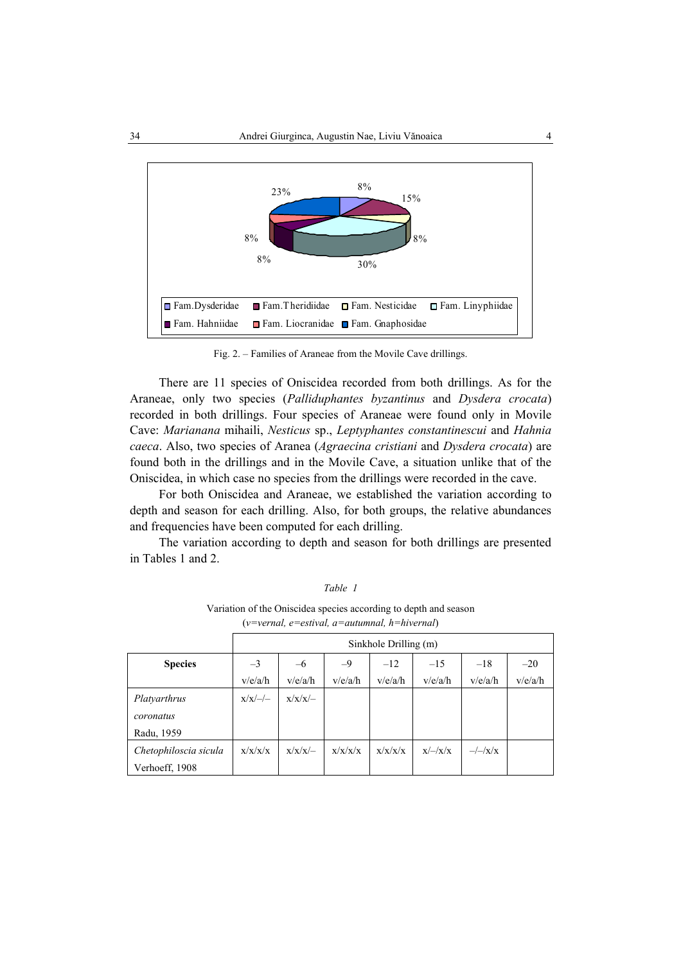

Fig. 2. – Families of Araneae from the Movile Cave drillings.

There are 11 species of Oniscidea recorded from both drillings. As for the Araneae, only two species (*Palliduphantes byzantinus* and *Dysdera crocata*) recorded in both drillings. Four species of Araneae were found only in Movile Cave: *Marianana* mihaili, *Nesticus* sp., *Leptyphantes constantinescui* and *Hahnia caeca*. Also, two species of Aranea (*Agraecina cristiani* and *Dysdera crocata*) are found both in the drillings and in the Movile Cave, a situation unlike that of the Oniscidea, in which case no species from the drillings were recorded in the cave.

For both Oniscidea and Araneae, we established the variation according to depth and season for each drilling. Also, for both groups, the relative abundances and frequencies have been computed for each drilling.

The variation according to depth and season for both drillings are presented in Tables 1 and 2.

| I able |  |
|--------|--|
|--------|--|

Variation of the Oniscidea species according to depth and season (*v=vernal, e=estival, a=autumnal, h=hivernal*)

|                       | Sinkhole Drilling (m) |                                                  |         |         |                      |                |         |  |  |
|-----------------------|-----------------------|--------------------------------------------------|---------|---------|----------------------|----------------|---------|--|--|
| <b>Species</b>        | $-3$                  | $-20$<br>$-9$<br>$-12$<br>$-15$<br>$-18$<br>$-6$ |         |         |                      |                |         |  |  |
|                       | v/e/a/h               | v/e/a/h                                          | v/e/a/h | v/e/a/h | v/e/a/h              | v/e/a/h        | v/e/a/h |  |  |
| Platyarthrus          | $x/x/}/$              | $x/x/x$ /-                                       |         |         |                      |                |         |  |  |
| coronatus             |                       |                                                  |         |         |                      |                |         |  |  |
| Radu, 1959            |                       |                                                  |         |         |                      |                |         |  |  |
| Chetophiloscia sicula | x/x/x/x               | $x/x/x$ /-                                       | x/x/x/x | x/x/x/x | $x$ /- $\frac{1}{x}$ | $-\frac{1}{X}$ |         |  |  |
| Verhoeff, 1908        |                       |                                                  |         |         |                      |                |         |  |  |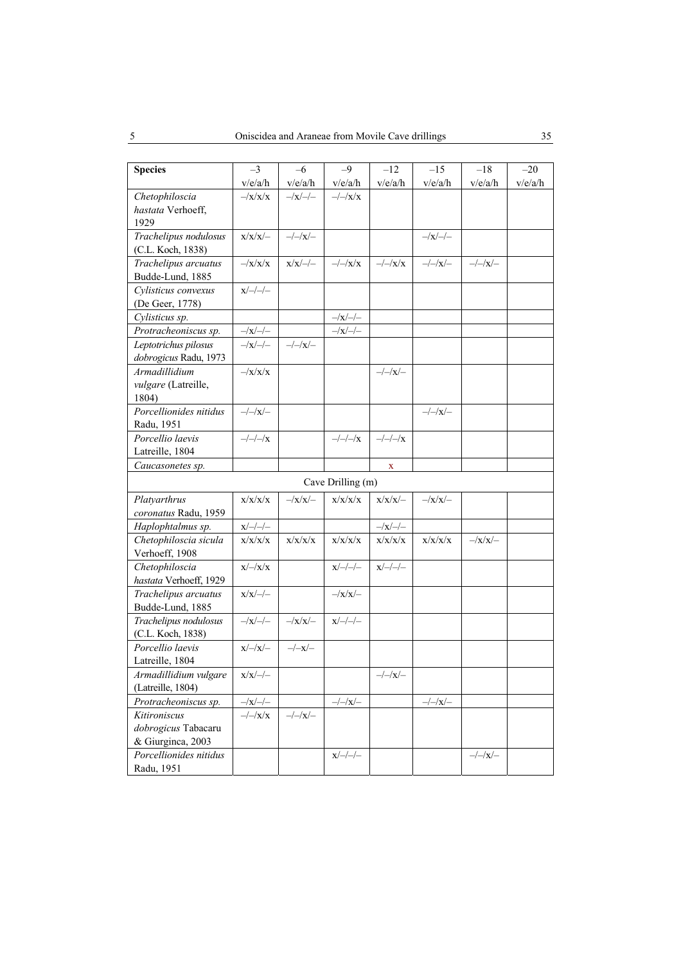| <b>Species</b>                             | $-3$                       | $-6$            | $-9$                                                                       | $-12$                                            | $-15$                      | $-18$          | $-20$   |
|--------------------------------------------|----------------------------|-----------------|----------------------------------------------------------------------------|--------------------------------------------------|----------------------------|----------------|---------|
|                                            | v/e/a/h                    | v/e/a/h         | v/e/a/h                                                                    | v/e/a/h                                          | v/e/a/h                    | v/e/a/h        | v/e/a/h |
| Chetophiloscia                             | $-\frac{X}{X}$             | $-\frac{1}{x}-$ | $-/-/x/x$                                                                  |                                                  |                            |                |         |
| hastata Verhoeff,                          |                            |                 |                                                                            |                                                  |                            |                |         |
| 1929                                       |                            |                 |                                                                            |                                                  |                            |                |         |
| Trachelipus nodulosus                      | $x/x/x$ /-                 | $-/-/x/-$       |                                                                            |                                                  | $-\frac{1}{X}-\frac{1}{Y}$ |                |         |
| (C.L. Koch, 1838)                          |                            |                 |                                                                            |                                                  |                            |                |         |
| Trachelipus arcuatus                       | $-\frac{X}{X}$             | $x/x$ /-/-      | $-\frac{1}{X}$                                                             | $-\frac{1}{X}$                                   | $-/-/x/-$                  | $-/-/x/-$      |         |
| Budde-Lund, 1885                           |                            |                 |                                                                            |                                                  |                            |                |         |
| Cylisticus convexus                        | $x/-/-/-$                  |                 |                                                                            |                                                  |                            |                |         |
| (De Geer, 1778)                            |                            |                 |                                                                            |                                                  |                            |                |         |
| Cylisticus sp.                             |                            |                 | $-\frac{1}{x}-\frac{1}{x}$                                                 |                                                  |                            |                |         |
| Protracheoniscus sp.                       | $-\frac{1}{x}-\frac{1}{x}$ |                 |                                                                            |                                                  |                            |                |         |
| Leptotrichus pilosus                       | $-\frac{1}{x}-$            | $-/-/x/-$       |                                                                            |                                                  |                            |                |         |
| dobrogicus Radu, 1973                      |                            |                 |                                                                            |                                                  |                            |                |         |
| Armadillidium                              | $-\frac{X}{X}$             |                 |                                                                            | $-/-/x/-$                                        |                            |                |         |
| vulgare (Latreille,                        |                            |                 |                                                                            |                                                  |                            |                |         |
| 1804)                                      |                            |                 |                                                                            |                                                  |                            |                |         |
| Porcellionides nitidus                     | $-/-/x/-$                  |                 |                                                                            |                                                  | $-/-/x/-$                  |                |         |
| Radu, 1951                                 |                            |                 |                                                                            |                                                  |                            |                |         |
| Porcellio laevis                           | $-/-/-/x$                  |                 | $-/-/-/x$                                                                  | $-/-/-/x$                                        |                            |                |         |
| Latreille, 1804                            |                            |                 |                                                                            |                                                  |                            |                |         |
| Caucasonetes sp.                           |                            |                 |                                                                            | X                                                |                            |                |         |
|                                            |                            |                 | Cave Drilling (m)                                                          |                                                  |                            |                |         |
| Platyarthrus                               | x/x/x/x                    | $-\frac{1}{X}$  | x/x/x/x                                                                    | $x/x/x$ /-                                       | $-\frac{X}{X}$             |                |         |
| coronatus Radu, 1959                       |                            |                 |                                                                            |                                                  |                            |                |         |
| Haplophtalmus sp.                          | $x$ /-/-/-                 |                 |                                                                            | $-\frac{1}{x}-$                                  |                            |                |         |
| Chetophiloscia sicula                      | x/x/x/x                    | x/x/x/x         | x/x/x/x                                                                    | x/x/x/x                                          | x/x/x/x                    | $-\frac{1}{X}$ |         |
| Verhoeff, 1908                             |                            |                 |                                                                            |                                                  |                            |                |         |
| Chetophiloscia                             | $x$ /-/ $x$ / $x$          |                 | $x/-/-/-$                                                                  | $\chi/\!\!\!\!\sim\!\!/\!\!\!\!-\!\!/\!\!\!\sim$ |                            |                |         |
| hastata Verhoeff, 1929                     |                            |                 |                                                                            |                                                  |                            |                |         |
| Trachelipus arcuatus                       | $x/x//-$                   |                 | $-{\rm /x/x/}-$                                                            |                                                  |                            |                |         |
| Budde-Lund, 1885                           |                            |                 |                                                                            |                                                  |                            |                |         |
| Trachelipus nodulosus                      | $-\frac{1}{x}-$            | $-\frac{X}{X}$  | $\chi/\!\!\!\!\rightarrow\!\!/\!\!\!\!\rightarrow\!\!/\!\!\!\!\rightarrow$ |                                                  |                            |                |         |
| (C.L. Koch, 1838)                          |                            |                 |                                                                            |                                                  |                            |                |         |
| Porcellio laevis                           | $x$ /-/ $x$ /-             | $-/-x/-$        |                                                                            |                                                  |                            |                |         |
| Latreille, 1804                            |                            |                 |                                                                            |                                                  |                            |                |         |
| Armadillidium vulgare<br>(Latreille, 1804) | $x/x$ /-/-                 |                 |                                                                            | $-/-/x/-$                                        |                            |                |         |
| Protracheoniscus sp.                       | $-\frac{1}{x}-$            |                 | $-/-/x/-$                                                                  |                                                  | $-/-/x/-$                  |                |         |
| Kitironiscus                               | $-\frac{1}{X}$             | $-/-/x/-$       |                                                                            |                                                  |                            |                |         |
| dobrogicus Tabacaru                        |                            |                 |                                                                            |                                                  |                            |                |         |
| & Giurginea, 2003                          |                            |                 |                                                                            |                                                  |                            |                |         |
| Porcellionides nitidus                     |                            |                 | $\chi/\!\!\!\!\rightarrow\!\!/\!\!\!\!\rightarrow\!\!/\!\!\!\!\rightarrow$ |                                                  |                            | $-/-/x/-$      |         |
| Radu, 1951                                 |                            |                 |                                                                            |                                                  |                            |                |         |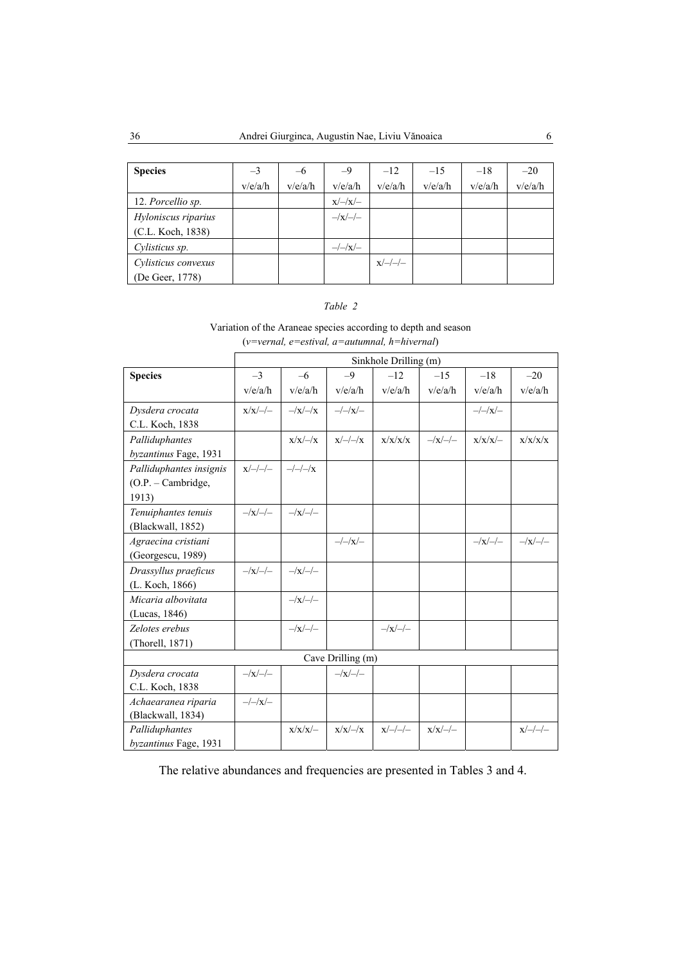| <b>Species</b>      | $-3$    | $-6$    | $-9$            | $-12$     | $-1.5$  | $-18$   | $-20$   |
|---------------------|---------|---------|-----------------|-----------|---------|---------|---------|
|                     | v/e/a/h | v/e/a/h | v/e/a/h         | v/e/a/h   | v/e/a/h | v/e/a/h | v/e/a/h |
| 12. Porcellio sp.   |         |         | $x$ /-/ $x$ /-  |           |         |         |         |
| Hyloniscus riparius |         |         | $-\frac{1}{x}-$ |           |         |         |         |
| (C.L. Koch, 1838)   |         |         |                 |           |         |         |         |
| Cylisticus sp.      |         |         | $-/-/x/-$       |           |         |         |         |
| Cylisticus convexus |         |         |                 | $x/-/-/-$ |         |         |         |
| (De Geer, 1778)     |         |         |                 |           |         |         |         |

### *Table 2*

### Variation of the Araneae species according to depth and season (*v=vernal, e=estival, a=autumnal, h=hivernal*)

|                         |                 | Sinkhole Drilling (m) |                            |                 |                 |                 |                 |  |  |
|-------------------------|-----------------|-----------------------|----------------------------|-----------------|-----------------|-----------------|-----------------|--|--|
| <b>Species</b>          | $-3$            | $-6$                  | $-9$                       | $-12$           | $-15$           | $-18$           | $-20$           |  |  |
|                         | v/e/a/h         | v/e/a/h               | v/e/a/h                    | v/e/a/h         | v/e/a/h         | v/e/a/h         | v/e/a/h         |  |  |
| Dysdera crocata         | $x/x//-/$       | $-\frac{x}{-x}$       | $-/-/x/-$                  |                 |                 | $-\frac{1}{X}$  |                 |  |  |
| C.L. Koch, 1838         |                 |                       |                            |                 |                 |                 |                 |  |  |
| Palliduphantes          |                 | $x/x$ /-/ $x$         | $x/-/-/x$                  | x/x/x/x         | $-\frac{1}{x}-$ | $x/x/x$ /-      | x/x/x/x         |  |  |
| byzantinus Fage, 1931   |                 |                       |                            |                 |                 |                 |                 |  |  |
| Palliduphantes insignis | $x/-/-/-$       | $-/-/-/x$             |                            |                 |                 |                 |                 |  |  |
| $(O.P. - Cambridge,$    |                 |                       |                            |                 |                 |                 |                 |  |  |
| 1913)                   |                 |                       |                            |                 |                 |                 |                 |  |  |
| Tenuiphantes tenuis     | $-\frac{1}{x}-$ | $-\frac{1}{x}-$       |                            |                 |                 |                 |                 |  |  |
| (Blackwall, 1852)       |                 |                       |                            |                 |                 |                 |                 |  |  |
| Agraecina cristiani     |                 |                       | $-/-/x/-$                  |                 |                 | $-\frac{1}{x}-$ | $-\frac{1}{x}-$ |  |  |
| (Georgescu, 1989)       |                 |                       |                            |                 |                 |                 |                 |  |  |
| Drassyllus praeficus    | $-\frac{1}{x}-$ | $-\frac{1}{x}-$       |                            |                 |                 |                 |                 |  |  |
| (L. Koch, 1866)         |                 |                       |                            |                 |                 |                 |                 |  |  |
| Micaria albovitata      |                 | $-\frac{1}{x}-$       |                            |                 |                 |                 |                 |  |  |
| (Lucas, 1846)           |                 |                       |                            |                 |                 |                 |                 |  |  |
| Zelotes erebus          |                 | $-\frac{1}{x}-$       |                            | $-\frac{1}{x}-$ |                 |                 |                 |  |  |
| (Thorell, 1871)         |                 |                       |                            |                 |                 |                 |                 |  |  |
|                         |                 |                       | Cave Drilling (m)          |                 |                 |                 |                 |  |  |
| Dysdera crocata         | $-\frac{1}{x}-$ |                       | $-\frac{1}{X}-\frac{1}{Y}$ |                 |                 |                 |                 |  |  |
| C.L. Koch, 1838         |                 |                       |                            |                 |                 |                 |                 |  |  |
| Achaearanea riparia     | $-/-/x/-$       |                       |                            |                 |                 |                 |                 |  |  |
| (Blackwall, 1834)       |                 |                       |                            |                 |                 |                 |                 |  |  |
| Palliduphantes          |                 | $x/x/x$ /-            | $x/x$ /-/ $x$              | $x/-/-/-$       | $x/x$ /-/-      |                 | $x/-/-/-$       |  |  |
| byzantinus Fage, 1931   |                 |                       |                            |                 |                 |                 |                 |  |  |

The relative abundances and frequencies are presented in Tables 3 and 4.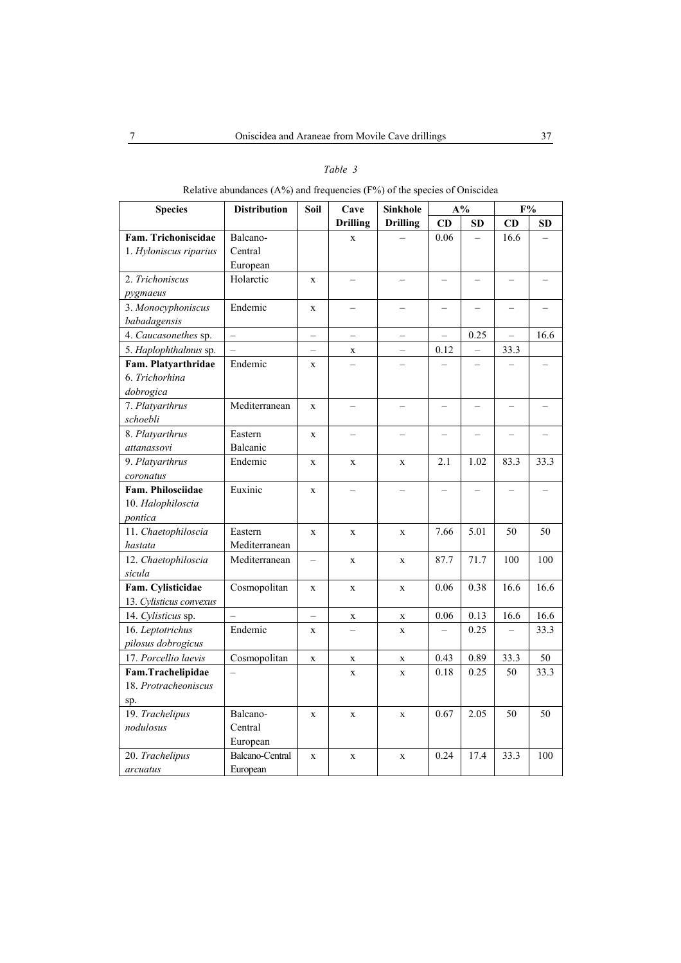### *Table 3*

## Relative abundances (A%) and frequencies (F%) of the species of Oniscidea

| <b>Species</b>          | <b>Distribution</b>      | Soil                     | Cave                     | <b>Sinkhole</b>          | $A\%$                    |                          | F%                       |                          |
|-------------------------|--------------------------|--------------------------|--------------------------|--------------------------|--------------------------|--------------------------|--------------------------|--------------------------|
|                         |                          |                          | <b>Drilling</b>          | <b>Drilling</b>          | CD                       | <b>SD</b>                | CD                       | <b>SD</b>                |
| Fam. Trichoniscidae     | Balcano-                 |                          | X                        |                          | 0.06                     |                          | 16.6                     |                          |
| 1. Hyloniscus riparius  | Central                  |                          |                          |                          |                          |                          |                          |                          |
|                         | European                 |                          |                          |                          |                          |                          |                          |                          |
| 2. Trichoniscus         | Holarctic                | $\mathbf X$              | $\overline{\phantom{0}}$ |                          |                          |                          |                          |                          |
| pygmaeus                |                          |                          |                          |                          |                          |                          |                          |                          |
| 3. Monocyphoniscus      | Endemic                  | $\mathbf x$              |                          |                          |                          |                          |                          |                          |
| babadagensis            |                          |                          |                          |                          |                          |                          |                          |                          |
| 4. Caucasonethes sp.    | $\overline{\phantom{0}}$ | $\overline{\phantom{0}}$ | $\overline{\phantom{0}}$ | $\qquad \qquad -$        | $\overline{\phantom{0}}$ | 0.25                     | $\qquad \qquad -$        | 16.6                     |
| 5. Haplophthalmus sp.   |                          | $\overline{\phantom{0}}$ | $\mathbf X$              |                          | 0.12                     |                          | 33.3                     |                          |
| Fam. Platyarthridae     | Endemic                  | $\mathbf X$              |                          |                          |                          |                          |                          |                          |
| 6. Trichorhina          |                          |                          |                          |                          |                          |                          |                          |                          |
| dobrogica               |                          |                          |                          |                          |                          |                          |                          |                          |
| 7. Platyarthrus         | Mediterranean            | $\mathbf X$              | $\overline{\phantom{0}}$ | $\equiv$                 | $\overline{\phantom{0}}$ | $\overline{\phantom{0}}$ | $\overline{\phantom{0}}$ |                          |
| schoebli                |                          |                          |                          |                          |                          |                          |                          |                          |
| 8. Platyarthrus         | Eastern                  | $\mathbf X$              | $\overline{\phantom{0}}$ | $\equiv$                 |                          | $\overline{\phantom{0}}$ |                          |                          |
| attanassovi             | Balcanic                 |                          |                          |                          |                          |                          |                          |                          |
| 9. Platyarthrus         | Endemic                  | $\mathbf x$              | $\mathbf x$              | $\mathbf x$              | 2.1                      | 1.02                     | 83.3                     | 33.3                     |
| coronatus               |                          |                          |                          |                          |                          |                          |                          |                          |
| Fam. Philosciidae       | Euxinic                  | $\mathbf x$              | $\overline{\phantom{0}}$ | $\overline{\phantom{0}}$ | $\overline{\phantom{0}}$ | $\qquad \qquad -$        | $\qquad \qquad -$        | $\overline{\phantom{0}}$ |
| 10. Halophiloscia       |                          |                          |                          |                          |                          |                          |                          |                          |
| pontica                 |                          |                          |                          |                          |                          |                          |                          |                          |
| 11. Chaetophiloscia     | Eastern                  | $\mathbf X$              | $\mathbf X$              | $\mathbf X$              | 7.66                     | 5.01                     | 50                       | 50                       |
| hastata                 | Mediterranean            |                          |                          |                          |                          |                          |                          |                          |
| 12. Chaetophiloscia     | Mediterranean            | $\qquad \qquad -$        | $\mathbf x$              | $\mathbf x$              | 87.7                     | 71.7                     | 100                      | 100                      |
| sicula                  |                          |                          |                          |                          |                          |                          |                          |                          |
| Fam. Cylisticidae       | Cosmopolitan             | $\mathbf X$              | $\mathbf x$              | $\mathbf X$              | 0.06                     | 0.38                     | 16.6                     | 16.6                     |
| 13. Cylisticus convexus |                          |                          |                          |                          |                          |                          |                          |                          |
| 14. Cylisticus sp.      |                          |                          | $\mathbf X$              | $\mathbf X$              | 0.06                     | 0.13                     | 16.6                     | 16.6                     |
| 16. Leptotrichus        | Endemic                  | $\mathbf X$              |                          | $\mathbf X$              |                          | 0.25                     | $\overline{\phantom{0}}$ | 33.3                     |
| pilosus dobrogicus      |                          |                          |                          |                          |                          |                          |                          |                          |
| 17. Porcellio laevis    | Cosmopolitan             | $\mathbf X$              | X                        | $\mathbf X$              | 0.43                     | 0.89                     | 33.3                     | 50                       |
| Fam.Trachelipidae       | $\overline{\phantom{0}}$ |                          | $\mathbf X$              | $\mathbf X$              | 0.18                     | 0.25                     | 50                       | 33.3                     |
| 18. Protracheoniscus    |                          |                          |                          |                          |                          |                          |                          |                          |
| sp.                     |                          |                          |                          |                          |                          |                          |                          |                          |
| 19. Trachelipus         | Balcano-                 | $\mathbf x$              | $\mathbf{X}$             | $\mathbf x$              | 0.67                     | 2.05                     | 50                       | 50                       |
| nodulosus               | Central                  |                          |                          |                          |                          |                          |                          |                          |
|                         | European                 |                          |                          |                          |                          |                          |                          |                          |
| 20. Trachelipus         | Balcano-Central          | $\mathbf X$              | X                        | $\mathbf X$              | 0.24                     | 17.4                     | 33.3                     | 100                      |
| arcuatus                | European                 |                          |                          |                          |                          |                          |                          |                          |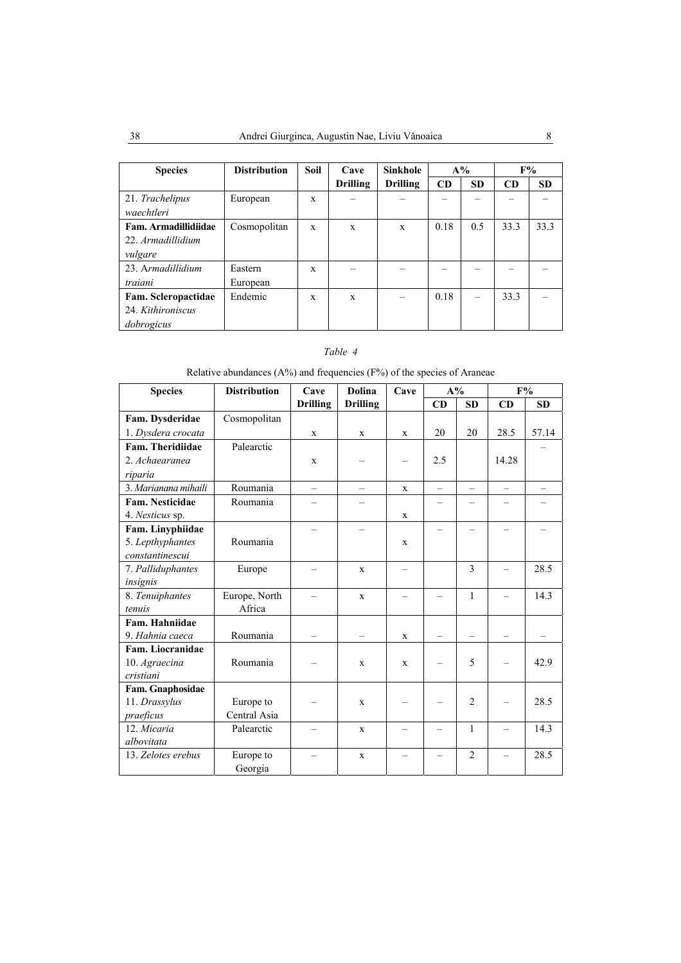| <b>Species</b>       | <b>Distribution</b> | <b>Soil</b> | $A\%$<br>Cave<br><b>Sinkhole</b> |                 |      |           | $F\%$ |           |
|----------------------|---------------------|-------------|----------------------------------|-----------------|------|-----------|-------|-----------|
|                      |                     |             | <b>Drilling</b>                  | <b>Drilling</b> | CD   | <b>SD</b> | CD    | <b>SD</b> |
| 21. Trachelipus      | European            | X           |                                  |                 |      |           |       |           |
| waechtleri           |                     |             |                                  |                 |      |           |       |           |
| Fam. Armadillidiidae | Cosmopolitan        | X           | X                                | $\mathbf{x}$    | 0.18 | 0.5       | 33.3  | 33.3      |
| 22. Armadillidium    |                     |             |                                  |                 |      |           |       |           |
| vulgare              |                     |             |                                  |                 |      |           |       |           |
| 23. Armadillidium    | Eastern             | X           |                                  |                 |      |           |       |           |
| traiani              | European            |             |                                  |                 |      |           |       |           |
| Fam. Scleropactidae  | Endemic             | X           | X                                |                 | 0.18 |           | 33.3  |           |
| 24. Kithironiscus    |                     |             |                                  |                 |      |           |       |           |
| dobrogicus           |                     |             |                                  |                 |      |           |       |           |

### *Table 4*

Relative abundances (A%) and frequencies (F%) of the species of Araneae

| <b>Species</b>         | <b>Distribution</b> | Cave                     | <b>Dolina</b>            | Cave        | $A\%$                    |                | F%                       |           |
|------------------------|---------------------|--------------------------|--------------------------|-------------|--------------------------|----------------|--------------------------|-----------|
|                        |                     | <b>Drilling</b>          | <b>Drilling</b>          |             | CD                       | <b>SD</b>      | CD                       | <b>SD</b> |
| Fam. Dysderidae        | Cosmopolitan        |                          |                          |             |                          |                |                          |           |
| 1. Dysdera crocata     |                     | X                        | X                        | X           | 20                       | 20             | 28.5                     | 57.14     |
| Fam. Theridiidae       | Palearctic          |                          |                          |             |                          |                |                          |           |
| 2. Achaearanea         |                     | $\mathbf{x}$             |                          |             | 2.5                      |                | 14.28                    |           |
| riparia                |                     |                          |                          |             |                          |                |                          |           |
| 3. Marianana mihaili   | Roumania            | $\overline{\phantom{0}}$ | $\overline{\phantom{0}}$ | X           | $\overline{\phantom{0}}$ |                | $\equiv$                 |           |
| <b>Fam. Nesticidae</b> | Roumania            |                          |                          |             |                          |                |                          |           |
| 4. Nesticus sp.        |                     |                          |                          | $\mathbf x$ |                          |                |                          |           |
| Fam. Linyphiidae       |                     | $\equiv$                 |                          |             |                          |                |                          |           |
| 5. Lepthyphantes       | Roumania            |                          |                          | X           |                          |                |                          |           |
| constantinescui        |                     |                          |                          |             |                          |                |                          |           |
| 7. Palliduphantes      | Europe              |                          | X                        | -           |                          | $\mathcal{E}$  | -                        | 28.5      |
| insignis               |                     |                          |                          |             |                          |                |                          |           |
| 8. Tenuiphantes        | Europe, North       |                          | X                        |             |                          | $\mathbf{1}$   |                          | 14.3      |
| tenuis                 | Africa              |                          |                          |             |                          |                |                          |           |
| Fam. Hahniidae         |                     |                          |                          |             |                          |                |                          |           |
| 9. Hahnia caeca        | Roumania            |                          |                          | $\mathbf X$ |                          |                |                          |           |
| Fam. Liocranidae       |                     |                          |                          |             |                          |                |                          |           |
| 10. Agraecina          | Roumania            |                          | X                        | X           |                          | 5              |                          | 42.9      |
| cristiani              |                     |                          |                          |             |                          |                |                          |           |
| Fam. Gnaphosidae       |                     |                          |                          |             |                          |                |                          |           |
| 11. Drassylus          | Europe to           |                          | X                        |             |                          | $\overline{2}$ |                          | 28.5      |
| praeficus              | Central Asia        |                          |                          |             |                          |                |                          |           |
| 12. Micaria            | Palearctic          |                          | $\mathbf X$              |             |                          | $\mathbf{1}$   | $\overline{\phantom{0}}$ | 14.3      |
| albovitata             |                     |                          |                          |             |                          |                |                          |           |
| 13. Zelotes erebus     | Europe to           |                          | $\mathbf x$              |             |                          | $\overline{2}$ | $\overline{\phantom{0}}$ | 28.5      |
|                        | Georgia             |                          |                          |             |                          |                |                          |           |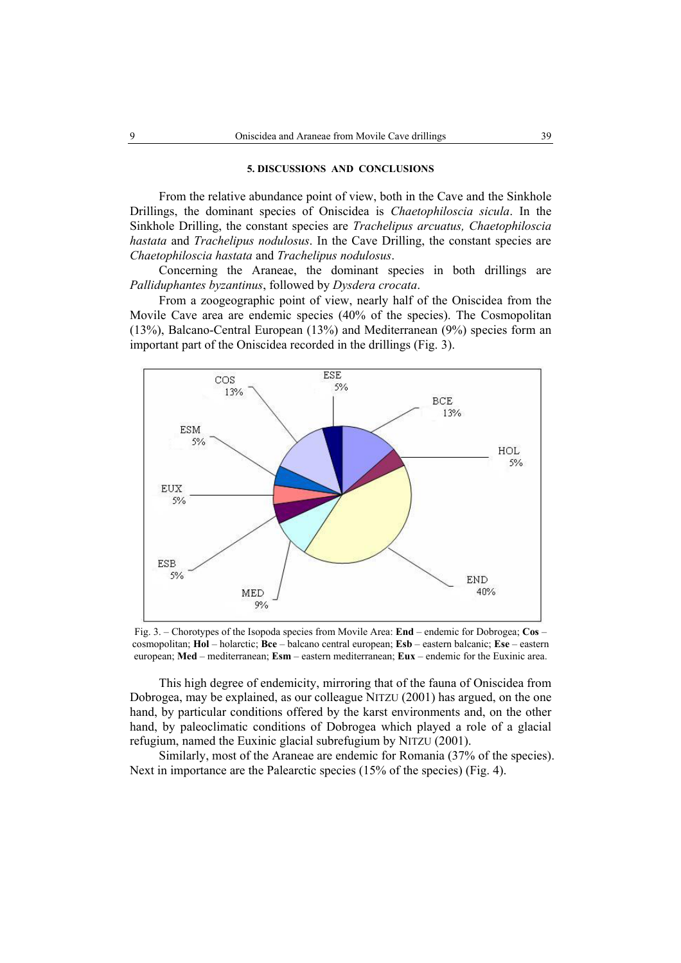#### **5. DISCUSSIONS AND CONCLUSIONS**

From the relative abundance point of view, both in the Cave and the Sinkhole Drillings, the dominant species of Oniscidea is *Chaetophiloscia sicula*. In the Sinkhole Drilling, the constant species are *Trachelipus arcuatus, Chaetophiloscia hastata* and *Trachelipus nodulosus*. In the Cave Drilling, the constant species are *Chaetophiloscia hastata* and *Trachelipus nodulosus*.

Concerning the Araneae, the dominant species in both drillings are *Palliduphantes byzantinus*, followed by *Dysdera crocata*.

From a zoogeographic point of view, nearly half of the Oniscidea from the Movile Cave area are endemic species (40% of the species). The Cosmopolitan (13%), Balcano-Central European (13%) and Mediterranean (9%) species form an important part of the Oniscidea recorded in the drillings (Fig. 3).



Fig. 3. – Chorotypes of the Isopoda species from Movile Area: **End** – endemic for Dobrogea; **Cos** – cosmopolitan; **Hol** – holarctic; **Bce** – balcano central european; **Esb** – eastern balcanic; **Ese** – eastern european; **Med** – mediterranean; **Esm** – eastern mediterranean; **Eux** – endemic for the Euxinic area.

This high degree of endemicity, mirroring that of the fauna of Oniscidea from Dobrogea, may be explained, as our colleague NITZU (2001) has argued, on the one hand, by particular conditions offered by the karst environments and, on the other hand, by paleoclimatic conditions of Dobrogea which played a role of a glacial refugium, named the Euxinic glacial subrefugium by NITZU (2001).

Similarly, most of the Araneae are endemic for Romania (37% of the species). Next in importance are the Palearctic species (15% of the species) (Fig. 4).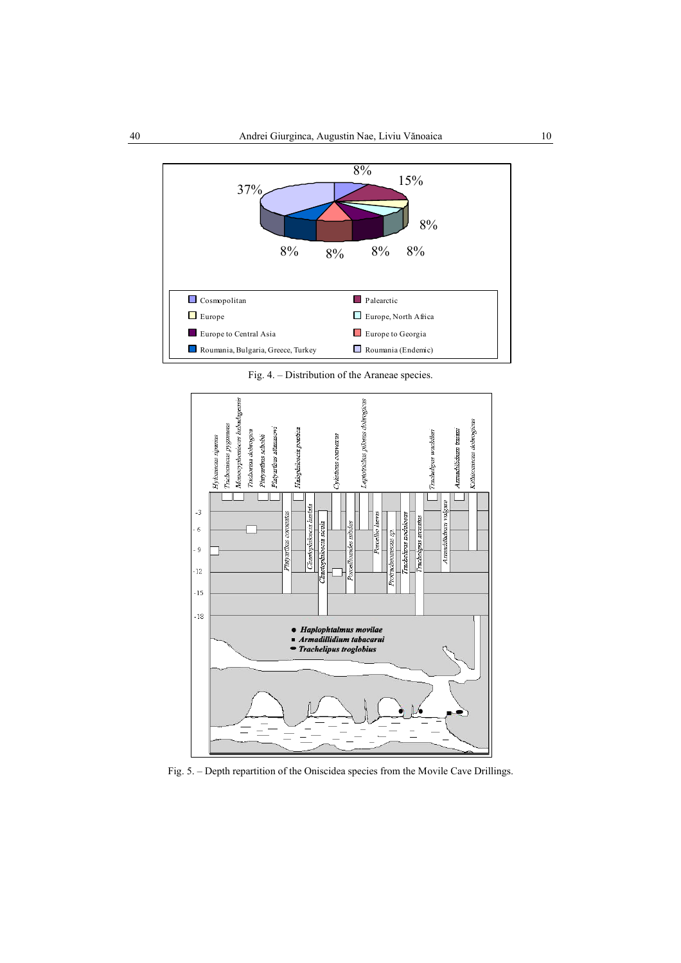![](_page_9_Figure_1.jpeg)

Fig. 4. – Distribution of the Araneae species.

![](_page_9_Figure_3.jpeg)

Fig. 5. – Depth repartition of the Oniscidea species from the Movile Cave Drillings.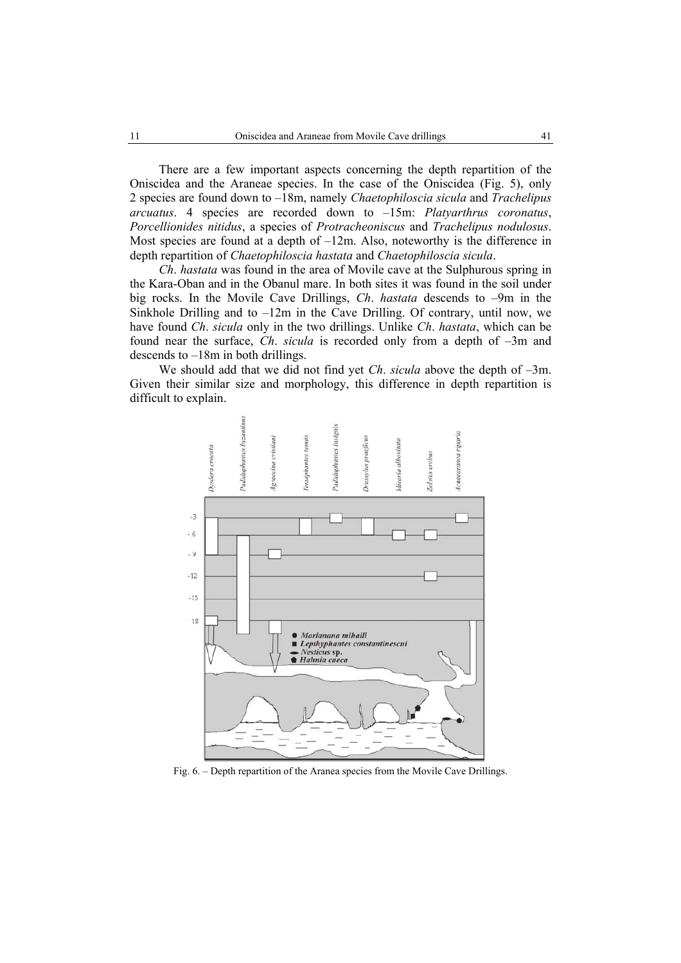There are a few important aspects concerning the depth repartition of the Oniscidea and the Araneae species. In the case of the Oniscidea (Fig. 5), only 2 species are found down to –18m, namely *Chaetophiloscia sicula* and *Trachelipus arcuatus*. 4 species are recorded down to –15m: *Platyarthrus coronatus*, *Porcellionides nitidus*, a species of *Protracheoniscus* and *Trachelipus nodulosus*. Most species are found at a depth of  $-12m$ . Also, noteworthy is the difference in depth repartition of *Chaetophiloscia hastata* and *Chaetophiloscia sicula*.

*Ch*. *hastata* was found in the area of Movile cave at the Sulphurous spring in the Kara-Oban and in the Obanul mare. In both sites it was found in the soil under big rocks. In the Movile Cave Drillings, *Ch*. *hastata* descends to –9m in the Sinkhole Drilling and to  $-12m$  in the Cave Drilling. Of contrary, until now, we have found *Ch*. *sicula* only in the two drillings. Unlike *Ch*. *hastata*, which can be found near the surface, *Ch*. *sicula* is recorded only from a depth of –3m and descends to –18m in both drillings.

We should add that we did not find yet *Ch*. *sicula* above the depth of –3m. Given their similar size and morphology, this difference in depth repartition is difficult to explain.

![](_page_10_Figure_4.jpeg)

Fig. 6. – Depth repartition of the Aranea species from the Movile Cave Drillings.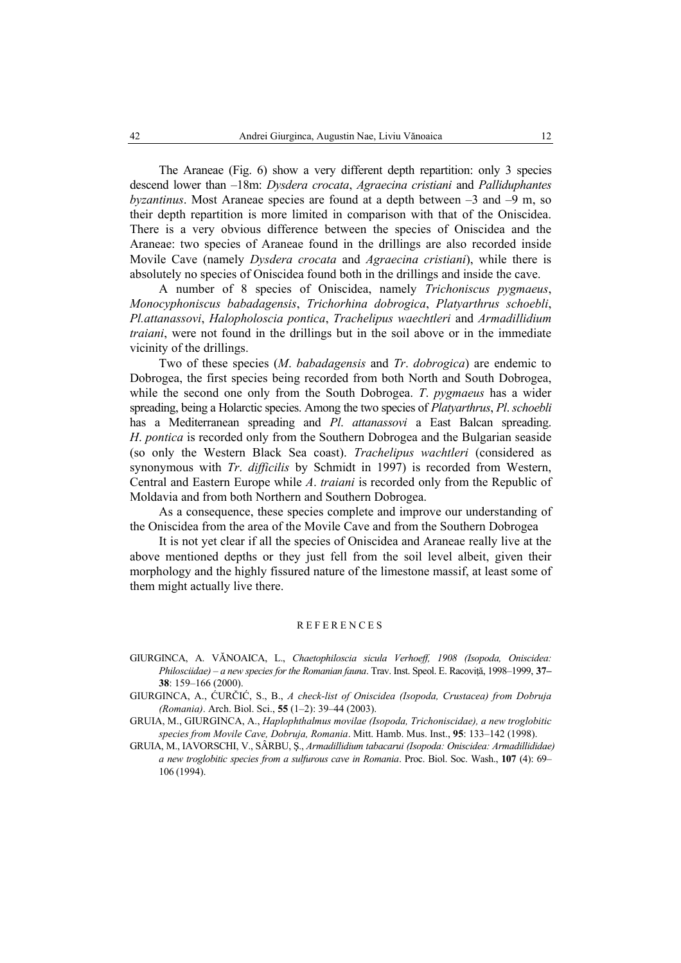The Araneae (Fig. 6) show a very different depth repartition: only 3 species descend lower than –18m: *Dysdera crocata*, *Agraecina cristiani* and *Palliduphantes byzantinus*. Most Araneae species are found at a depth between –3 and –9 m, so their depth repartition is more limited in comparison with that of the Oniscidea. There is a very obvious difference between the species of Oniscidea and the Araneae: two species of Araneae found in the drillings are also recorded inside Movile Cave (namely *Dysdera crocata* and *Agraecina cristiani*), while there is absolutely no species of Oniscidea found both in the drillings and inside the cave.

A number of 8 species of Oniscidea, namely *Trichoniscus pygmaeus*, *Monocyphoniscus babadagensis*, *Trichorhina dobrogica*, *Platyarthrus schoebli*, *Pl.attanassovi*, *Halopholoscia pontica*, *Trachelipus waechtleri* and *Armadillidium traiani*, were not found in the drillings but in the soil above or in the immediate vicinity of the drillings.

Two of these species (*M*. *babadagensis* and *Tr*. *dobrogica*) are endemic to Dobrogea, the first species being recorded from both North and South Dobrogea, while the second one only from the South Dobrogea. *T*. *pygmaeus* has a wider spreading, being a Holarctic species. Among the two species of *Platyarthrus*, *Pl*. *schoebli* has a Mediterranean spreading and *Pl*. *attanassovi* a East Balcan spreading. *H*. *pontica* is recorded only from the Southern Dobrogea and the Bulgarian seaside (so only the Western Black Sea coast). *Trachelipus wachtleri* (considered as synonymous with *Tr*. *difficilis* by Schmidt in 1997) is recorded from Western, Central and Eastern Europe while *A*. *traiani* is recorded only from the Republic of Moldavia and from both Northern and Southern Dobrogea.

As a consequence, these species complete and improve our understanding of the Oniscidea from the area of the Movile Cave and from the Southern Dobrogea

It is not yet clear if all the species of Oniscidea and Araneae really live at the above mentioned depths or they just fell from the soil level albeit, given their morphology and the highly fissured nature of the limestone massif, at least some of them might actually live there.

#### **REFERENCES**

- GIURGINCA, A. VĂNOAICA, L., *Chaetophiloscia sicula Verhoeff, 1908 (Isopoda, Oniscidea: Philosciidae) – a new species for the Romanian fauna*. Trav. Inst. Speol. E. Racoviţă, 1998–1999, **37– 38**: 159–166 (2000).
- GIURGINCA, A., ĆURČIĆ, S., B., *A check-list of Oniscidea (Isopoda, Crustacea) from Dobruja (Romania)*. Arch. Biol. Sci., **55** (1–2): 39–44 (2003).
- GRUIA, M., GIURGINCA, A., *Haplophthalmus movilae (Isopoda, Trichoniscidae), a new troglobitic species from Movile Cave, Dobruja, Romania*. Mitt. Hamb. Mus. Inst., **95**: 133–142 (1998).
- GRUIA, M., IAVORSCHI, V., SÂRBU, Ş., *Armadillidium tabacarui (Isopoda: Oniscidea: Armadillididae) a new troglobitic species from a sulfurous cave in Romania*. Proc. Biol. Soc. Wash., **107** (4): 69– 106 (1994).